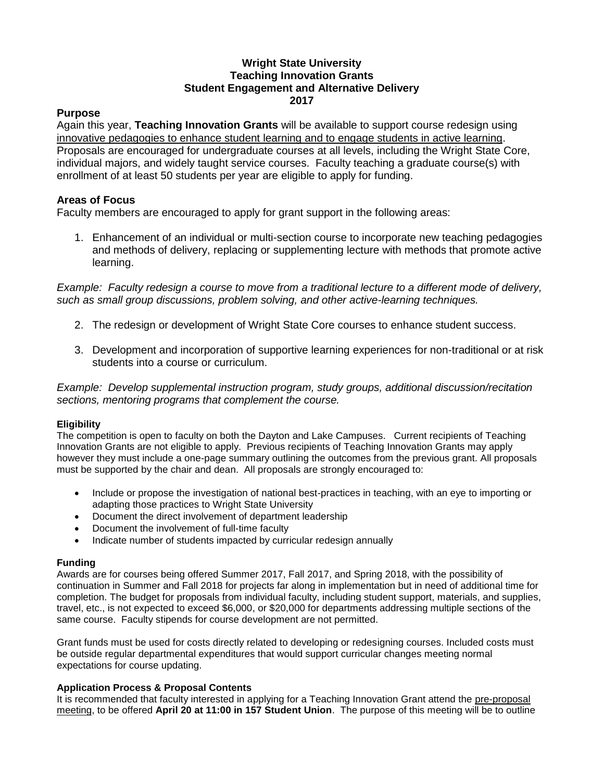# **Wright State University Teaching Innovation Grants Student Engagement and Alternative Delivery 2017**

## **Purpose**

Again this year, **Teaching Innovation Grants** will be available to support course redesign using innovative pedagogies to enhance student learning and to engage students in active learning. Proposals are encouraged for undergraduate courses at all levels, including the Wright State Core, individual majors, and widely taught service courses. Faculty teaching a graduate course(s) with enrollment of at least 50 students per year are eligible to apply for funding.

## **Areas of Focus**

Faculty members are encouraged to apply for grant support in the following areas:

1. Enhancement of an individual or multi-section course to incorporate new teaching pedagogies and methods of delivery, replacing or supplementing lecture with methods that promote active learning.

*Example: Faculty redesign a course to move from a traditional lecture to a different mode of delivery, such as small group discussions, problem solving, and other active-learning techniques.*

- 2. The redesign or development of Wright State Core courses to enhance student success.
- 3. Development and incorporation of supportive learning experiences for non-traditional or at risk students into a course or curriculum.

*Example: Develop supplemental instruction program, study groups, additional discussion/recitation sections, mentoring programs that complement the course.*

### **Eligibility**

The competition is open to faculty on both the Dayton and Lake Campuses. Current recipients of Teaching Innovation Grants are not eligible to apply. Previous recipients of Teaching Innovation Grants may apply however they must include a one-page summary outlining the outcomes from the previous grant. All proposals must be supported by the chair and dean. All proposals are strongly encouraged to:

- Include or propose the investigation of national best-practices in teaching, with an eye to importing or adapting those practices to Wright State University
- Document the direct involvement of department leadership
- Document the involvement of full-time faculty
- Indicate number of students impacted by curricular redesign annually

#### **Funding**

Awards are for courses being offered Summer 2017, Fall 2017, and Spring 2018, with the possibility of continuation in Summer and Fall 2018 for projects far along in implementation but in need of additional time for completion. The budget for proposals from individual faculty, including student support, materials, and supplies, travel, etc., is not expected to exceed \$6,000, or \$20,000 for departments addressing multiple sections of the same course. Faculty stipends for course development are not permitted.

Grant funds must be used for costs directly related to developing or redesigning courses. Included costs must be outside regular departmental expenditures that would support curricular changes meeting normal expectations for course updating.

#### **Application Process & Proposal Contents**

It is recommended that faculty interested in applying for a Teaching Innovation Grant attend the pre-proposal meeting, to be offered **April 20 at 11:00 in 157 Student Union**. The purpose of this meeting will be to outline